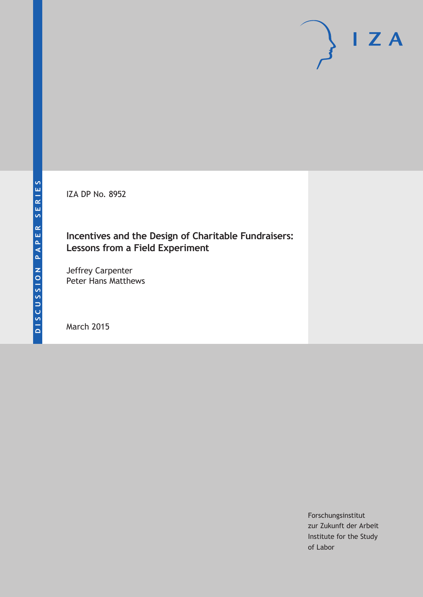IZA DP No. 8952

# **Incentives and the Design of Charitable Fundraisers: Lessons from a Field Experiment**

Jeffrey Carpenter Peter Hans Matthews

March 2015

Forschungsinstitut zur Zukunft der Arbeit Institute for the Study of Labor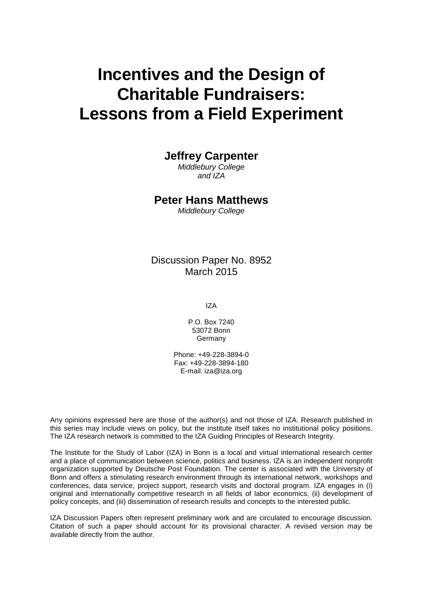# **Incentives and the Design of Charitable Fundraisers: Lessons from a Field Experiment**

**Jeffrey Carpenter**

*Middlebury College and IZA*

### **Peter Hans Matthews**

*Middlebury College*

Discussion Paper No. 8952 March 2015

IZA

P.O. Box 7240 53072 Bonn Germany

Phone: +49-228-3894-0 Fax: +49-228-3894-180 E-mail: iza@iza.org

Any opinions expressed here are those of the author(s) and not those of IZA. Research published in this series may include views on policy, but the institute itself takes no institutional policy positions. The IZA research network is committed to the IZA Guiding Principles of Research Integrity.

The Institute for the Study of Labor (IZA) in Bonn is a local and virtual international research center and a place of communication between science, politics and business. IZA is an independent nonprofit organization supported by Deutsche Post Foundation. The center is associated with the University of Bonn and offers a stimulating research environment through its international network, workshops and conferences, data service, project support, research visits and doctoral program. IZA engages in (i) original and internationally competitive research in all fields of labor economics, (ii) development of policy concepts, and (iii) dissemination of research results and concepts to the interested public.

<span id="page-1-0"></span>IZA Discussion Papers often represent preliminary work and are circulated to encourage discussion. Citation of such a paper should account for its provisional character. A revised version may be available directly from the author.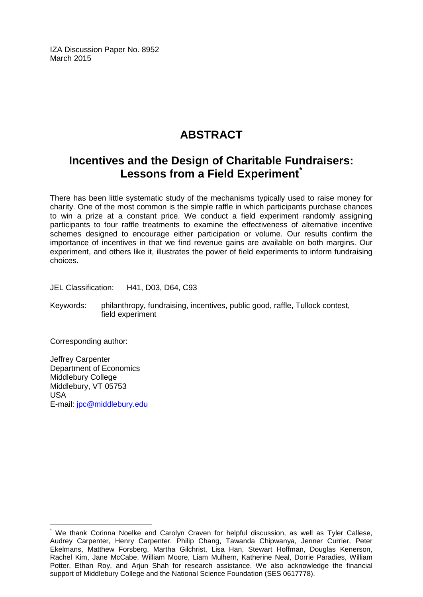IZA Discussion Paper No. 8952 March 2015

# **ABSTRACT**

# **Incentives and the Design of Charitable Fundraisers: Lessons from a Field Experiment[\\*](#page-1-0)**

There has been little systematic study of the mechanisms typically used to raise money for charity. One of the most common is the simple raffle in which participants purchase chances to win a prize at a constant price. We conduct a field experiment randomly assigning participants to four raffle treatments to examine the effectiveness of alternative incentive schemes designed to encourage either participation or volume. Our results confirm the importance of incentives in that we find revenue gains are available on both margins. Our experiment, and others like it, illustrates the power of field experiments to inform fundraising choices.

JEL Classification: H41, D03, D64, C93

Keywords: philanthropy, fundraising, incentives, public good, raffle, Tullock contest, field experiment

Corresponding author:

Jeffrey Carpenter Department of Economics Middlebury College Middlebury, VT 05753 USA E-mail: [jpc@middlebury.edu](mailto:jpc@middlebury.edu)

We thank Corinna Noelke and Carolyn Craven for helpful discussion, as well as Tyler Callese, Audrey Carpenter, Henry Carpenter, Philip Chang, Tawanda Chipwanya, Jenner Currier, Peter Ekelmans, Matthew Forsberg, Martha Gilchrist, Lisa Han, Stewart Hoffman, Douglas Kenerson, Rachel Kim, Jane McCabe, William Moore, Liam Mulhern, Katherine Neal, Dorrie Paradies, William Potter, Ethan Roy, and Arjun Shah for research assistance. We also acknowledge the financial support of Middlebury College and the National Science Foundation (SES 0617778).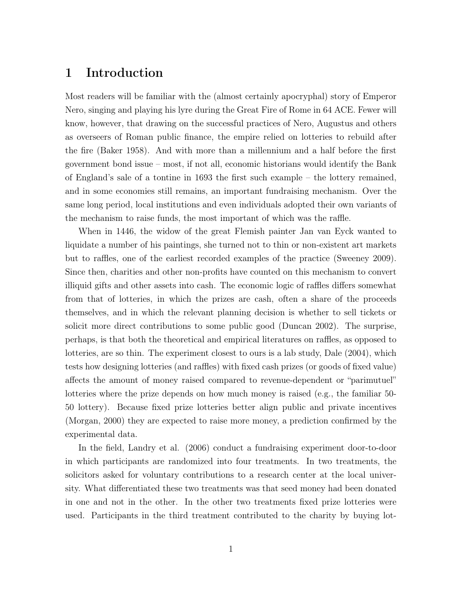# 1 Introduction

Most readers will be familiar with the (almost certainly apocryphal) story of Emperor Nero, singing and playing his lyre during the Great Fire of Rome in 64 ACE. Fewer will know, however, that drawing on the successful practices of Nero, Augustus and others as overseers of Roman public finance, the empire relied on lotteries to rebuild after the fire (Baker 1958). And with more than a millennium and a half before the first government bond issue – most, if not all, economic historians would identify the Bank of England's sale of a tontine in 1693 the first such example – the lottery remained, and in some economies still remains, an important fundraising mechanism. Over the same long period, local institutions and even individuals adopted their own variants of the mechanism to raise funds, the most important of which was the raffle.

When in 1446, the widow of the great Flemish painter Jan van Eyck wanted to liquidate a number of his paintings, she turned not to thin or non-existent art markets but to raffles, one of the earliest recorded examples of the practice (Sweeney 2009). Since then, charities and other non-profits have counted on this mechanism to convert illiquid gifts and other assets into cash. The economic logic of raffles differs somewhat from that of lotteries, in which the prizes are cash, often a share of the proceeds themselves, and in which the relevant planning decision is whether to sell tickets or solicit more direct contributions to some public good (Duncan 2002). The surprise, perhaps, is that both the theoretical and empirical literatures on raffles, as opposed to lotteries, are so thin. The experiment closest to ours is a lab study, Dale (2004), which tests how designing lotteries (and raffles) with fixed cash prizes (or goods of fixed value) affects the amount of money raised compared to revenue-dependent or "parimutuel" lotteries where the prize depends on how much money is raised (e.g., the familiar 50- 50 lottery). Because fixed prize lotteries better align public and private incentives (Morgan, 2000) they are expected to raise more money, a prediction confirmed by the experimental data.

In the field, Landry et al. (2006) conduct a fundraising experiment door-to-door in which participants are randomized into four treatments. In two treatments, the solicitors asked for voluntary contributions to a research center at the local university. What differentiated these two treatments was that seed money had been donated in one and not in the other. In the other two treatments fixed prize lotteries were used. Participants in the third treatment contributed to the charity by buying lot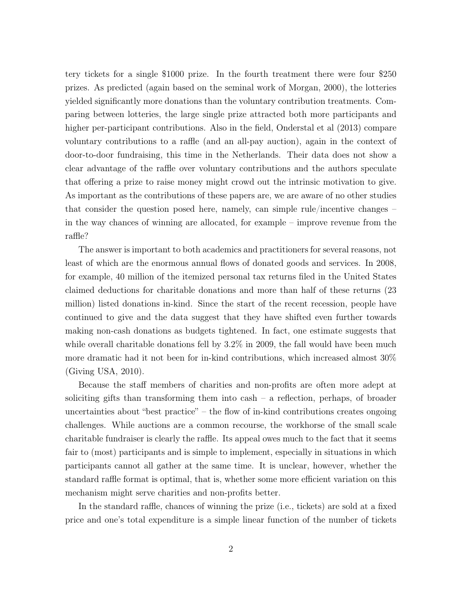tery tickets for a single \$1000 prize. In the fourth treatment there were four \$250 prizes. As predicted (again based on the seminal work of Morgan, 2000), the lotteries yielded significantly more donations than the voluntary contribution treatments. Comparing between lotteries, the large single prize attracted both more participants and higher per-participant contributions. Also in the field, Onderstal et al (2013) compare voluntary contributions to a raffle (and an all-pay auction), again in the context of door-to-door fundraising, this time in the Netherlands. Their data does not show a clear advantage of the raffle over voluntary contributions and the authors speculate that offering a prize to raise money might crowd out the intrinsic motivation to give. As important as the contributions of these papers are, we are aware of no other studies that consider the question posed here, namely, can simple rule/incentive changes – in the way chances of winning are allocated, for example – improve revenue from the raffle?

The answer is important to both academics and practitioners for several reasons, not least of which are the enormous annual flows of donated goods and services. In 2008, for example, 40 million of the itemized personal tax returns filed in the United States claimed deductions for charitable donations and more than half of these returns (23 million) listed donations in-kind. Since the start of the recent recession, people have continued to give and the data suggest that they have shifted even further towards making non-cash donations as budgets tightened. In fact, one estimate suggests that while overall charitable donations fell by  $3.2\%$  in 2009, the fall would have been much more dramatic had it not been for in-kind contributions, which increased almost 30% (Giving USA, 2010).

Because the staff members of charities and non-profits are often more adept at soliciting gifts than transforming them into  $\cosh - a$  reflection, perhaps, of broader uncertainties about "best practice" – the flow of in-kind contributions creates ongoing challenges. While auctions are a common recourse, the workhorse of the small scale charitable fundraiser is clearly the raffle. Its appeal owes much to the fact that it seems fair to (most) participants and is simple to implement, especially in situations in which participants cannot all gather at the same time. It is unclear, however, whether the standard raffle format is optimal, that is, whether some more efficient variation on this mechanism might serve charities and non-profits better.

In the standard raffle, chances of winning the prize (i.e., tickets) are sold at a fixed price and one's total expenditure is a simple linear function of the number of tickets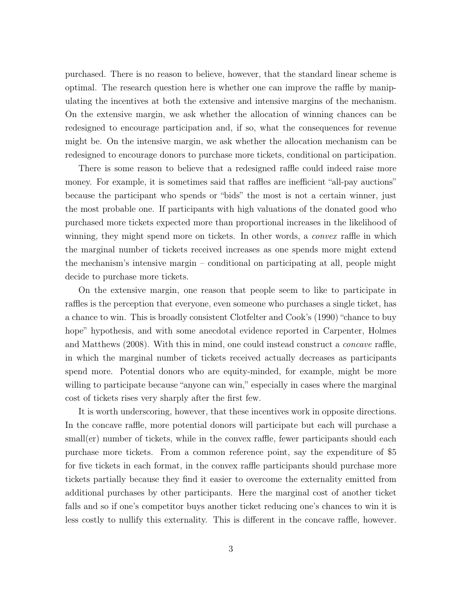purchased. There is no reason to believe, however, that the standard linear scheme is optimal. The research question here is whether one can improve the raffle by manipulating the incentives at both the extensive and intensive margins of the mechanism. On the extensive margin, we ask whether the allocation of winning chances can be redesigned to encourage participation and, if so, what the consequences for revenue might be. On the intensive margin, we ask whether the allocation mechanism can be redesigned to encourage donors to purchase more tickets, conditional on participation.

There is some reason to believe that a redesigned raffle could indeed raise more money. For example, it is sometimes said that raffles are inefficient "all-pay auctions" because the participant who spends or "bids" the most is not a certain winner, just the most probable one. If participants with high valuations of the donated good who purchased more tickets expected more than proportional increases in the likelihood of winning, they might spend more on tickets. In other words, a *convex* raffle in which the marginal number of tickets received increases as one spends more might extend the mechanism's intensive margin – conditional on participating at all, people might decide to purchase more tickets.

On the extensive margin, one reason that people seem to like to participate in raffles is the perception that everyone, even someone who purchases a single ticket, has a chance to win. This is broadly consistent Clotfelter and Cook's (1990) "chance to buy hope" hypothesis, and with some anecdotal evidence reported in Carpenter, Holmes and Matthews (2008). With this in mind, one could instead construct a concave raffle, in which the marginal number of tickets received actually decreases as participants spend more. Potential donors who are equity-minded, for example, might be more willing to participate because "anyone can win," especially in cases where the marginal cost of tickets rises very sharply after the first few.

It is worth underscoring, however, that these incentives work in opposite directions. In the concave raffle, more potential donors will participate but each will purchase a small(er) number of tickets, while in the convex raffle, fewer participants should each purchase more tickets. From a common reference point, say the expenditure of \$5 for five tickets in each format, in the convex raffle participants should purchase more tickets partially because they find it easier to overcome the externality emitted from additional purchases by other participants. Here the marginal cost of another ticket falls and so if one's competitor buys another ticket reducing one's chances to win it is less costly to nullify this externality. This is different in the concave raffle, however.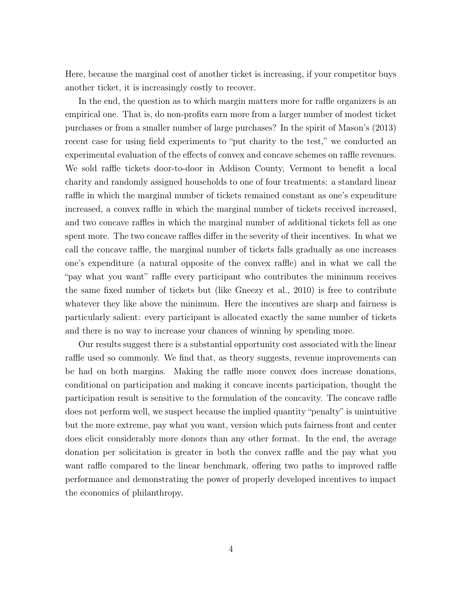Here, because the marginal cost of another ticket is increasing, if your competitor buys another ticket, it is increasingly costly to recover.

In the end, the question as to which margin matters more for raffle organizers is an empirical one. That is, do non-profits earn more from a larger number of modest ticket purchases or from a smaller number of large purchases? In the spirit of Mason's (2013) recent case for using field experiments to "put charity to the test," we conducted an experimental evaluation of the effects of convex and concave schemes on raffle revenues. We sold raffle tickets door-to-door in Addison County, Vermont to benefit a local charity and randomly assigned households to one of four treatments: a standard linear raffle in which the marginal number of tickets remained constant as one's expenditure increased, a convex raffle in which the marginal number of tickets received increased, and two concave raffles in which the marginal number of additional tickets fell as one spent more. The two concave raffles differ in the severity of their incentives. In what we call the concave raffle, the marginal number of tickets falls gradually as one increases one's expenditure (a natural opposite of the convex raffle) and in what we call the "pay what you want" raffle every participant who contributes the minimum receives the same fixed number of tickets but (like Gneezy et al., 2010) is free to contribute whatever they like above the minimum. Here the incentives are sharp and fairness is particularly salient: every participant is allocated exactly the same number of tickets and there is no way to increase your chances of winning by spending more.

Our results suggest there is a substantial opportunity cost associated with the linear raffle used so commonly. We find that, as theory suggests, revenue improvements can be had on both margins. Making the raffle more convex does increase donations, conditional on participation and making it concave incents participation, thought the participation result is sensitive to the formulation of the concavity. The concave raffle does not perform well, we suspect because the implied quantity "penalty" is unintuitive but the more extreme, pay what you want, version which puts fairness front and center does elicit considerably more donors than any other format. In the end, the average donation per solicitation is greater in both the convex raffle and the pay what you want raffle compared to the linear benchmark, offering two paths to improved raffle performance and demonstrating the power of properly developed incentives to impact the economics of philanthropy.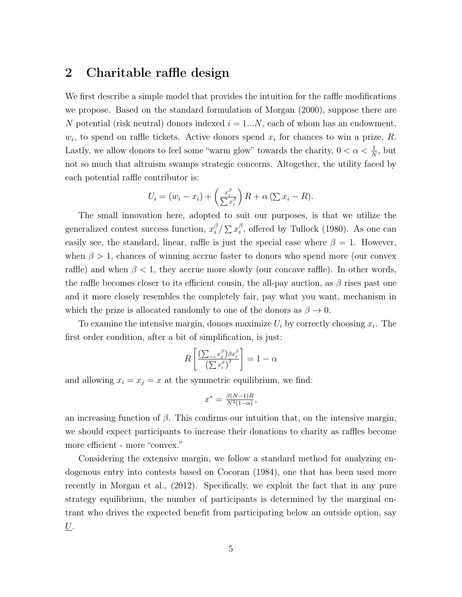## 2 Charitable raffle design

We first describe a simple model that provides the intuition for the raffle modifications we propose. Based on the standard formulation of Morgan (2000), suppose there are N potential (risk neutral) donors indexed  $i = 1...N$ , each of whom has an endowment,  $w_i$ , to spend on raffle tickets. Active donors spend  $x_i$  for chances to win a prize, R. Lastly, we allow donors to feel some "warm glow" towards the charity,  $0 < \alpha < \frac{1}{N}$ , but not so much that altruism swamps strategic concerns. Altogether, the utility faced by each potential raffle contributor is:

$$
U_i = (w_i - x_i) + \left(\frac{x_i^{\beta}}{\sum x_i^{\beta}}\right)R + \alpha\left(\sum x_i - R\right).
$$

The small innovation here, adopted to suit our purposes, is that we utilize the generalized contest success function,  $x_i^{\beta} / \sum x_i^{\beta}$  $i<sub>i</sub>$ , offered by Tullock (1980). As one can easily see, the standard, linear, raffle is just the special case where  $\beta = 1$ . However, when  $\beta > 1$ , chances of winning accrue faster to donors who spend more (our convex raffle) and when  $\beta$  < 1, they accrue more slowly (our concave raffle). In other words, the raffle becomes closer to its efficient cousin, the all-pay auction, as  $\beta$  rises past one and it more closely resembles the completely fair, pay what you want, mechanism in which the prize is allocated randomly to one of the donors as  $\beta \to 0$ .

To examine the intensive margin, donors maximize  $U_i$  by correctly choosing  $x_i$ . The first order condition, after a bit of simplification, is just:

$$
R\left[\frac{\left(\sum_{\sim i} x_j^{\beta}\right) \beta x_i^{\beta}}{\left(\sum x_i^{\beta}\right)^2}\right] = 1 - \alpha
$$

and allowing  $x_i = x_j = x$  at the symmetric equilibrium, we find:

$$
x^* = \frac{\beta(N-1)R}{N^2(1-\alpha)},
$$

an increasing function of  $\beta$ . This confirms our intuition that, on the intensive margin, we should expect participants to increase their donations to charity as raffles become more efficient - more "convex."

Considering the extensive margin, we follow a standard method for analyzing endogenous entry into contests based on Cocoran (1984), one that has been used more recently in Morgan et al., (2012). Specifically, we exploit the fact that in any pure strategy equilibrium, the number of participants is determined by the marginal entrant who drives the expected benefit from participating below an outside option, say  $\underline{U}$ .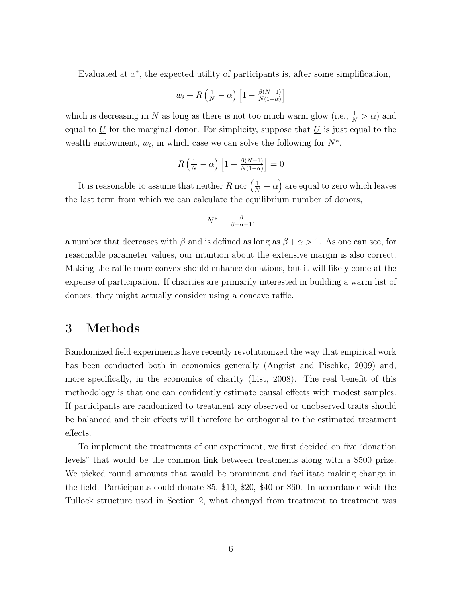Evaluated at  $x^*$ , the expected utility of participants is, after some simplification,

$$
w_i + R\left(\frac{1}{N} - \alpha\right) \left[1 - \frac{\beta(N-1)}{N(1-\alpha)}\right]
$$

which is decreasing in N as long as there is not too much warm glow (i.e.,  $\frac{1}{N} > \alpha$ ) and equal to U for the marginal donor. For simplicity, suppose that U is just equal to the wealth endowment,  $w_i$ , in which case we can solve the following for  $N^*$ .

$$
R\left(\frac{1}{N} - \alpha\right) \left[1 - \frac{\beta(N-1)}{N(1-\alpha)}\right] = 0
$$

It is reasonable to assume that neither  $R$  nor  $\left(\frac{1}{N} - \alpha\right)$  are equal to zero which leaves the last term from which we can calculate the equilibrium number of donors,

$$
N^* = \tfrac{\beta}{\beta + \alpha - 1},
$$

a number that decreases with  $\beta$  and is defined as long as  $\beta + \alpha > 1$ . As one can see, for reasonable parameter values, our intuition about the extensive margin is also correct. Making the raffle more convex should enhance donations, but it will likely come at the expense of participation. If charities are primarily interested in building a warm list of donors, they might actually consider using a concave raffle.

### 3 Methods

Randomized field experiments have recently revolutionized the way that empirical work has been conducted both in economics generally (Angrist and Pischke, 2009) and, more specifically, in the economics of charity (List, 2008). The real benefit of this methodology is that one can confidently estimate causal effects with modest samples. If participants are randomized to treatment any observed or unobserved traits should be balanced and their effects will therefore be orthogonal to the estimated treatment effects.

To implement the treatments of our experiment, we first decided on five "donation levels" that would be the common link between treatments along with a \$500 prize. We picked round amounts that would be prominent and facilitate making change in the field. Participants could donate \$5, \$10, \$20, \$40 or \$60. In accordance with the Tullock structure used in Section 2, what changed from treatment to treatment was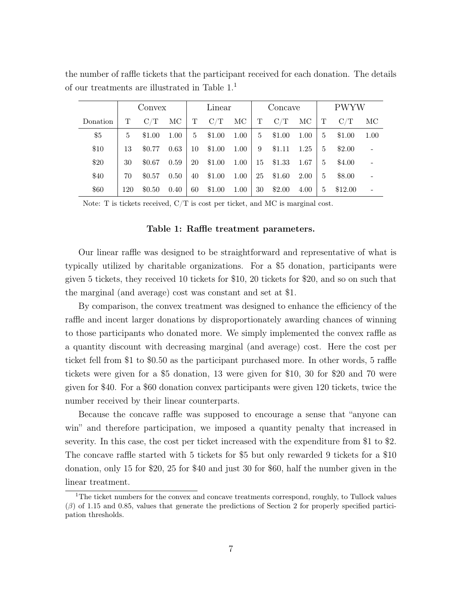|          | Convex |        | Linear   |    | Concave |          |    | <b>PWYW</b> |      |   |         |      |
|----------|--------|--------|----------|----|---------|----------|----|-------------|------|---|---------|------|
| Donation | т      | C/T    | $\rm MC$ | Т  | C/T     | $\rm MC$ | Т  | C/T         | МC   | Т | C/T     | МC   |
| \$5      | 5      | \$1.00 | 1.00     | 5  | \$1.00  | 1.00     | 5  | \$1.00      | 1.00 | 5 | \$1.00  | 1.00 |
| \$10     | 13     | \$0.77 | 0.63     | 10 | \$1.00  | 1.00     | 9  | \$1.11      | 1.25 | 5 | \$2.00  |      |
| \$20     | 30     | \$0.67 | 0.59     | 20 | \$1.00  | 1.00     | 15 | \$1.33      | 1.67 | 5 | \$4.00  |      |
| \$40     | 70     | \$0.57 | 0.50     | 40 | \$1.00  | 1.00     | 25 | \$1.60      | 2.00 | 5 | \$8.00  |      |
| \$60     | 120    | \$0.50 | 0.40     | 60 | \$1.00  | 1.00     | 30 | \$2.00      | 4.00 | 5 | \$12.00 |      |

the number of raffle tickets that the participant received for each donation. The details of our treatments are illustrated in Table 1.<sup>1</sup>

Note: T is tickets received, C/T is cost per ticket, and MC is marginal cost.

#### Table 1: Raffle treatment parameters.

Our linear raffle was designed to be straightforward and representative of what is typically utilized by charitable organizations. For a \$5 donation, participants were given 5 tickets, they received 10 tickets for \$10, 20 tickets for \$20, and so on such that the marginal (and average) cost was constant and set at \$1.

By comparison, the convex treatment was designed to enhance the efficiency of the raffle and incent larger donations by disproportionately awarding chances of winning to those participants who donated more. We simply implemented the convex raffle as a quantity discount with decreasing marginal (and average) cost. Here the cost per ticket fell from \$1 to \$0.50 as the participant purchased more. In other words, 5 raffle tickets were given for a \$5 donation, 13 were given for \$10, 30 for \$20 and 70 were given for \$40. For a \$60 donation convex participants were given 120 tickets, twice the number received by their linear counterparts.

Because the concave raffle was supposed to encourage a sense that "anyone can win" and therefore participation, we imposed a quantity penalty that increased in severity. In this case, the cost per ticket increased with the expenditure from \$1 to \$2. The concave raffle started with 5 tickets for \$5 but only rewarded 9 tickets for a \$10 donation, only 15 for \$20, 25 for \$40 and just 30 for \$60, half the number given in the linear treatment.

<sup>&</sup>lt;sup>1</sup>The ticket numbers for the convex and concave treatments correspond, roughly, to Tullock values  $(\beta)$  of 1.15 and 0.85, values that generate the predictions of Section 2 for properly specified participation thresholds.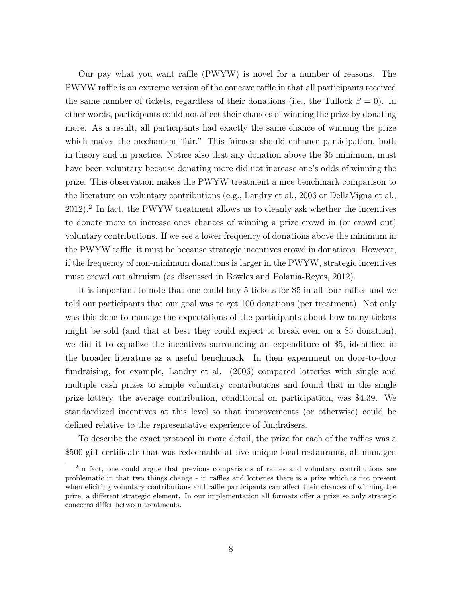Our pay what you want raffle (PWYW) is novel for a number of reasons. The PWYW raffle is an extreme version of the concave raffle in that all participants received the same number of tickets, regardless of their donations (i.e., the Tullock  $\beta = 0$ ). In other words, participants could not affect their chances of winning the prize by donating more. As a result, all participants had exactly the same chance of winning the prize which makes the mechanism "fair." This fairness should enhance participation, both in theory and in practice. Notice also that any donation above the \$5 minimum, must have been voluntary because donating more did not increase one's odds of winning the prize. This observation makes the PWYW treatment a nice benchmark comparison to the literature on voluntary contributions (e.g., Landry et al., 2006 or DellaVigna et al., 2012).<sup>2</sup> In fact, the PWYW treatment allows us to cleanly ask whether the incentives to donate more to increase ones chances of winning a prize crowd in (or crowd out) voluntary contributions. If we see a lower frequency of donations above the minimum in the PWYW raffle, it must be because strategic incentives crowd in donations. However, if the frequency of non-minimum donations is larger in the PWYW, strategic incentives must crowd out altruism (as discussed in Bowles and Polania-Reyes, 2012).

It is important to note that one could buy 5 tickets for \$5 in all four raffles and we told our participants that our goal was to get 100 donations (per treatment). Not only was this done to manage the expectations of the participants about how many tickets might be sold (and that at best they could expect to break even on a \$5 donation), we did it to equalize the incentives surrounding an expenditure of \$5, identified in the broader literature as a useful benchmark. In their experiment on door-to-door fundraising, for example, Landry et al. (2006) compared lotteries with single and multiple cash prizes to simple voluntary contributions and found that in the single prize lottery, the average contribution, conditional on participation, was \$4.39. We standardized incentives at this level so that improvements (or otherwise) could be defined relative to the representative experience of fundraisers.

To describe the exact protocol in more detail, the prize for each of the raffles was a \$500 gift certificate that was redeemable at five unique local restaurants, all managed

<sup>&</sup>lt;sup>2</sup>In fact, one could argue that previous comparisons of raffles and voluntary contributions are problematic in that two things change - in raffles and lotteries there is a prize which is not present when eliciting voluntary contributions and raffle participants can affect their chances of winning the prize, a different strategic element. In our implementation all formats offer a prize so only strategic concerns differ between treatments.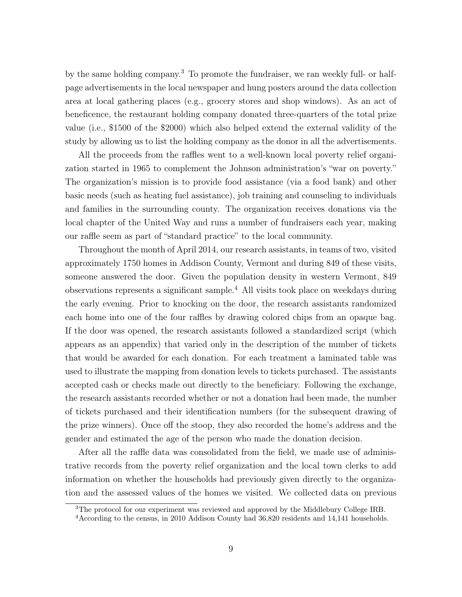by the same holding company.<sup>3</sup> To promote the fundraiser, we ran weekly full- or halfpage advertisements in the local newspaper and hung posters around the data collection area at local gathering places (e.g., grocery stores and shop windows). As an act of beneficence, the restaurant holding company donated three-quarters of the total prize value (i.e., \$1500 of the \$2000) which also helped extend the external validity of the study by allowing us to list the holding company as the donor in all the advertisements.

All the proceeds from the raffles went to a well-known local poverty relief organization started in 1965 to complement the Johnson administration's "war on poverty." The organization's mission is to provide food assistance (via a food bank) and other basic needs (such as heating fuel assistance), job training and counseling to individuals and families in the surrounding county. The organization receives donations via the local chapter of the United Way and runs a number of fundraisers each year, making our raffle seem as part of "standard practice" to the local community.

Throughout the month of April 2014, our research assistants, in teams of two, visited approximately 1750 homes in Addison County, Vermont and during 849 of these visits, someone answered the door. Given the population density in western Vermont, 849 observations represents a significant sample.<sup>4</sup> All visits took place on weekdays during the early evening. Prior to knocking on the door, the research assistants randomized each home into one of the four raffles by drawing colored chips from an opaque bag. If the door was opened, the research assistants followed a standardized script (which appears as an appendix) that varied only in the description of the number of tickets that would be awarded for each donation. For each treatment a laminated table was used to illustrate the mapping from donation levels to tickets purchased. The assistants accepted cash or checks made out directly to the beneficiary. Following the exchange, the research assistants recorded whether or not a donation had been made, the number of tickets purchased and their identification numbers (for the subsequent drawing of the prize winners). Once off the stoop, they also recorded the home's address and the gender and estimated the age of the person who made the donation decision.

After all the raffle data was consolidated from the field, we made use of administrative records from the poverty relief organization and the local town clerks to add information on whether the households had previously given directly to the organization and the assessed values of the homes we visited. We collected data on previous

<sup>&</sup>lt;sup>3</sup>The protocol for our experiment was reviewed and approved by the Middlebury College IRB.

<sup>4</sup>According to the census, in 2010 Addison County had 36,820 residents and 14,141 households.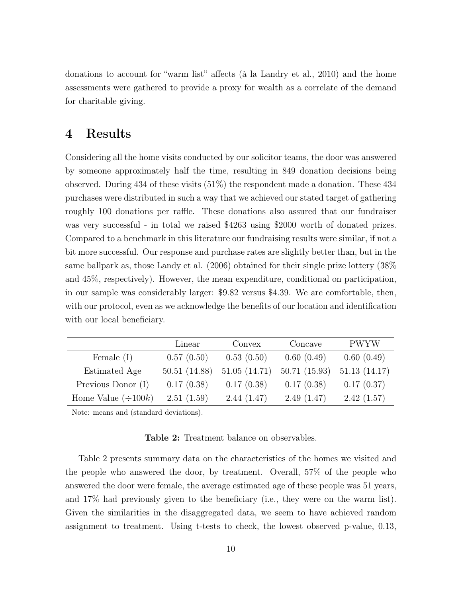donations to account for "warm list" affects (à la Landry et al., 2010) and the home assessments were gathered to provide a proxy for wealth as a correlate of the demand for charitable giving.

### 4 Results

Considering all the home visits conducted by our solicitor teams, the door was answered by someone approximately half the time, resulting in 849 donation decisions being observed. During 434 of these visits (51%) the respondent made a donation. These 434 purchases were distributed in such a way that we achieved our stated target of gathering roughly 100 donations per raffle. These donations also assured that our fundraiser was very successful - in total we raised \$4263 using \$2000 worth of donated prizes. Compared to a benchmark in this literature our fundraising results were similar, if not a bit more successful. Our response and purchase rates are slightly better than, but in the same ballpark as, those Landy et al. (2006) obtained for their single prize lottery (38% and 45%, respectively). However, the mean expenditure, conditional on participation, in our sample was considerably larger: \$9.82 versus \$4.39. We are comfortable, then, with our protocol, even as we acknowledge the benefits of our location and identification with our local beneficiary.

|                          | Linear       | Convex       | Concave      | <b>PWYW</b>  |
|--------------------------|--------------|--------------|--------------|--------------|
| Female $(I)$             | 0.57(0.50)   | 0.53(0.50)   | 0.60(0.49)   | 0.60(0.49)   |
| Estimated Age            | 50.51(14.88) | 51.05(14.71) | 50.71(15.93) | 51.13(14.17) |
| Previous Donor (I)       | 0.17(0.38)   | 0.17(0.38)   | 0.17(0.38)   | 0.17(0.37)   |
| Home Value $(\div 100k)$ | 2.51(1.59)   | 2.44(1.47)   | 2.49(1.47)   | 2.42(1.57)   |

Note: means and (standard deviations).

Table 2: Treatment balance on observables.

Table 2 presents summary data on the characteristics of the homes we visited and the people who answered the door, by treatment. Overall, 57% of the people who answered the door were female, the average estimated age of these people was 51 years, and 17% had previously given to the beneficiary (i.e., they were on the warm list). Given the similarities in the disaggregated data, we seem to have achieved random assignment to treatment. Using t-tests to check, the lowest observed p-value, 0.13,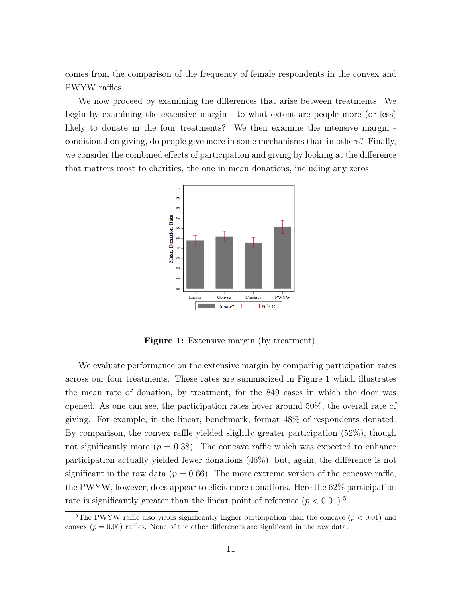comes from the comparison of the frequency of female respondents in the convex and PWYW raffles.

We now proceed by examining the differences that arise between treatments. We begin by examining the extensive margin - to what extent are people more (or less) likely to donate in the four treatments? We then examine the intensive margin conditional on giving, do people give more in some mechanisms than in others? Finally, we consider the combined effects of participation and giving by looking at the difference that matters most to charities, the one in mean donations, including any zeros.



Figure 1: Extensive margin (by treatment).

We evaluate performance on the extensive margin by comparing participation rates across our four treatments. These rates are summarized in Figure 1 which illustrates the mean rate of donation, by treatment, for the 849 cases in which the door was opened. As one can see, the participation rates hover around 50%, the overall rate of giving. For example, in the linear, benchmark, format 48% of respondents donated. By comparison, the convex raffle yielded slightly greater participation (52%), though not significantly more  $(p = 0.38)$ . The concave raffle which was expected to enhance participation actually yielded fewer donations (46%), but, again, the difference is not significant in the raw data ( $p = 0.66$ ). The more extreme version of the concave raffle, the PWYW, however, does appear to elicit more donations. Here the 62% participation rate is significantly greater than the linear point of reference  $(p < 0.01)^5$ 

<sup>&</sup>lt;sup>5</sup>The PWYW raffle also yields significantly higher participation than the concave  $(p < 0.01)$  and convex  $(p = 0.06)$  raffles. None of the other differences are significant in the raw data.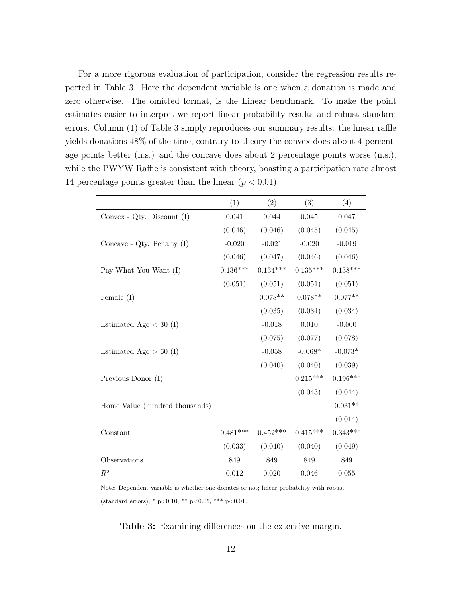For a more rigorous evaluation of participation, consider the regression results reported in Table 3. Here the dependent variable is one when a donation is made and zero otherwise. The omitted format, is the Linear benchmark. To make the point estimates easier to interpret we report linear probability results and robust standard errors. Column (1) of Table 3 simply reproduces our summary results: the linear raffle yields donations 48% of the time, contrary to theory the convex does about 4 percentage points better (n.s.) and the concave does about 2 percentage points worse (n.s.), while the PWYW Raffle is consistent with theory, boasting a participation rate almost 14 percentage points greater than the linear  $(p < 0.01)$ .

|                                | (1)        | (2)        | (3)        | (4)        |
|--------------------------------|------------|------------|------------|------------|
| Convex - Qty. Discount $(I)$   | 0.041      | 0.044      | 0.045      | 0.047      |
|                                | (0.046)    | (0.046)    | (0.045)    | (0.045)    |
| Concave - Qty. Penalty $(I)$   | $-0.020$   | $-0.021$   | $-0.020$   | $-0.019$   |
|                                | (0.046)    | (0.047)    | (0.046)    | (0.046)    |
| Pay What You Want (I)          | $0.136***$ | $0.134***$ | $0.135***$ | $0.138***$ |
|                                | (0.051)    | (0.051)    | (0.051)    | (0.051)    |
| Female $(I)$                   |            | $0.078**$  | $0.078**$  | $0.077**$  |
|                                |            | (0.035)    | (0.034)    | (0.034)    |
| Estimated Age $<$ 30 (I)       |            | $-0.018$   | 0.010      | $-0.000$   |
|                                |            | (0.075)    | (0.077)    | (0.078)    |
| Estimated Age $> 60$ (I)       |            | $-0.058$   | $-0.068*$  | $-0.073*$  |
|                                |            | (0.040)    | (0.040)    | (0.039)    |
| Previous Donor (I)             |            |            | $0.215***$ | $0.196***$ |
|                                |            |            | (0.043)    | (0.044)    |
| Home Value (hundred thousands) |            |            |            | $0.031**$  |
|                                |            |            |            | (0.014)    |
| Constant                       | $0.481***$ | $0.452***$ | $0.415***$ | $0.343***$ |
|                                | (0.033)    | (0.040)    | (0.040)    | (0.049)    |
| Observations                   | 849        | 849        | 849        | 849        |
| $R^2$                          | 0.012      | 0.020      | 0.046      | 0.055      |

Note: Dependent variable is whether one donates or not; linear probability with robust (standard errors); \* p<0.10, \*\* p<0.05, \*\*\* p<0.01.

Table 3: Examining differences on the extensive margin.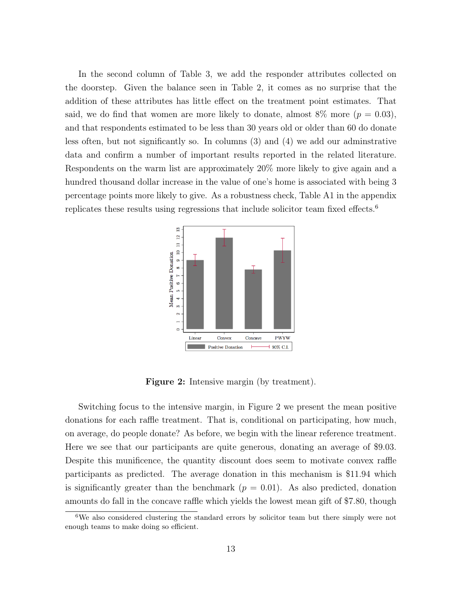In the second column of Table 3, we add the responder attributes collected on the doorstep. Given the balance seen in Table 2, it comes as no surprise that the addition of these attributes has little effect on the treatment point estimates. That said, we do find that women are more likely to donate, almost  $8\%$  more  $(p = 0.03)$ , and that respondents estimated to be less than 30 years old or older than 60 do donate less often, but not significantly so. In columns (3) and (4) we add our adminstrative data and confirm a number of important results reported in the related literature. Respondents on the warm list are approximately 20% more likely to give again and a hundred thousand dollar increase in the value of one's home is associated with being 3 percentage points more likely to give. As a robustness check, Table A1 in the appendix replicates these results using regressions that include solicitor team fixed effects.<sup>6</sup>



Figure 2: Intensive margin (by treatment).

Switching focus to the intensive margin, in Figure 2 we present the mean positive donations for each raffle treatment. That is, conditional on participating, how much, on average, do people donate? As before, we begin with the linear reference treatment. Here we see that our participants are quite generous, donating an average of \$9.03. Despite this munificence, the quantity discount does seem to motivate convex raffle participants as predicted. The average donation in this mechanism is \$11.94 which is significantly greater than the benchmark  $(p = 0.01)$ . As also predicted, donation amounts do fall in the concave raffle which yields the lowest mean gift of \$7.80, though

<sup>6</sup>We also considered clustering the standard errors by solicitor team but there simply were not enough teams to make doing so efficient.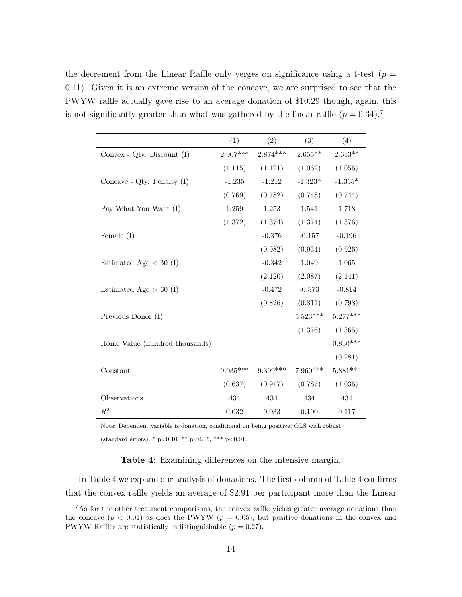the decrement from the Linear Raffle only verges on significance using a t-test ( $p =$ 0.11). Given it is an extreme version of the concave, we are surprised to see that the PWYW raffle actually gave rise to an average donation of \$10.29 though, again, this is not significantly greater than what was gathered by the linear raffle  $(p = 0.34)$ .<sup>7</sup>

|                                | (1)        | (2)        | (3)        | (4)        |
|--------------------------------|------------|------------|------------|------------|
| Convex - Qty. Discount $(I)$   | 2.907***   | $2.874***$ | $2.655**$  | $2.633**$  |
|                                | (1.115)    | (1.121)    | (1.062)    | (1.056)    |
| Concave - Qty. Penalty $(I)$   | $-1.235$   | $-1.212$   | $-1.323*$  | $-1.355*$  |
|                                | (0.769)    | (0.782)    | (0.748)    | (0.744)    |
| Pay What You Want (I)          | 1.259      | 1.253      | 1.541      | 1.718      |
|                                | (1.372)    | (1.374)    | (1.374)    | (1.376)    |
| Female $(I)$                   |            | $-0.376$   | $-0.157$   | $-0.196$   |
|                                |            | (0.982)    | (0.934)    | (0.926)    |
| Estimated Age $<$ 30 (I)       |            | $-0.342$   | 1.049      | 1.065      |
|                                |            | (2.120)    | (2.087)    | (2.141)    |
| Estimated Age $> 60$ (I)       |            | $-0.472$   | $-0.573$   | $-0.814$   |
|                                |            | (0.826)    | (0.811)    | (0.798)    |
| Previous Donor (I)             |            |            | $5.523***$ | $5.277***$ |
|                                |            |            | (1.376)    | (1.365)    |
| Home Value (hundred thousands) |            |            |            | $0.830***$ |
|                                |            |            |            | (0.281)    |
| Constant                       | $9.035***$ | $9.399***$ | $7.960***$ | $5.881***$ |
|                                | (0.637)    | (0.917)    | (0.787)    | (1.036)    |
| Observations                   | 434        | 434        | 434        | 434        |
| $R^2$                          | 0.032      | 0.033      | 0.100      | 0.117      |

Note: Dependent variable is donation, conditional on being positive; OLS with robust (standard errors); \* p<0.10, \*\* p<0.05, \*\*\* p<0.01.

Table 4: Examining differences on the intensive margin.

In Table 4 we expand our analysis of donations. The first column of Table 4 confirms that the convex raffle yields an average of \$2.91 per participant more than the Linear

<sup>&</sup>lt;sup>7</sup>As for the other treatment comparisons, the convex raffle yields greater average donations than the concave  $(p < 0.01)$  as does the PWYW  $(p = 0.05)$ , but positive donations in the convex and PWYW Raffles are statistically indistinguishable  $(p = 0.27)$ .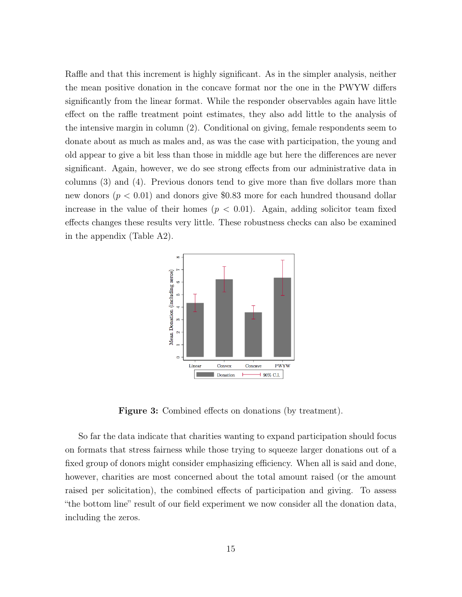Raffle and that this increment is highly significant. As in the simpler analysis, neither the mean positive donation in the concave format nor the one in the PWYW differs significantly from the linear format. While the responder observables again have little effect on the raffle treatment point estimates, they also add little to the analysis of the intensive margin in column (2). Conditional on giving, female respondents seem to donate about as much as males and, as was the case with participation, the young and old appear to give a bit less than those in middle age but here the differences are never significant. Again, however, we do see strong effects from our administrative data in columns (3) and (4). Previous donors tend to give more than five dollars more than new donors ( $p < 0.01$ ) and donors give \$0.83 more for each hundred thousand dollar increase in the value of their homes  $(p < 0.01)$ . Again, adding solicitor team fixed effects changes these results very little. These robustness checks can also be examined in the appendix (Table A2).



Figure 3: Combined effects on donations (by treatment).

So far the data indicate that charities wanting to expand participation should focus on formats that stress fairness while those trying to squeeze larger donations out of a fixed group of donors might consider emphasizing efficiency. When all is said and done, however, charities are most concerned about the total amount raised (or the amount raised per solicitation), the combined effects of participation and giving. To assess "the bottom line" result of our field experiment we now consider all the donation data, including the zeros.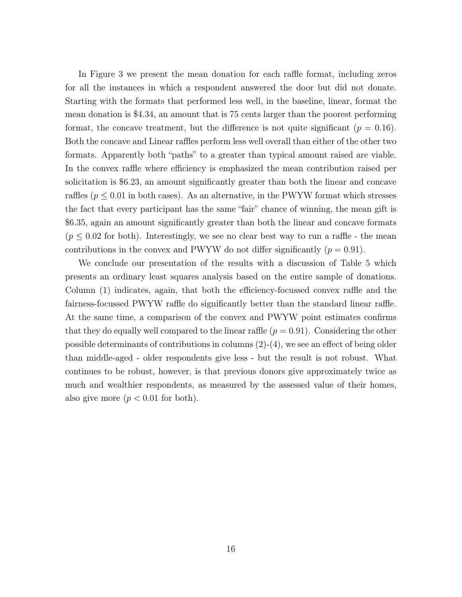In Figure 3 we present the mean donation for each raffle format, including zeros for all the instances in which a respondent answered the door but did not donate. Starting with the formats that performed less well, in the baseline, linear, format the mean donation is \$4.34, an amount that is 75 cents larger than the poorest performing format, the concave treatment, but the difference is not quite significant ( $p = 0.16$ ). Both the concave and Linear raffles perform less well overall than either of the other two formats. Apparently both "paths" to a greater than typical amount raised are viable. In the convex raffle where efficiency is emphasized the mean contribution raised per solicitation is \$6.23, an amount significantly greater than both the linear and concave raffles ( $p \leq 0.01$  in both cases). As an alternative, in the PWYW format which stresses the fact that every participant has the same "fair" chance of winning, the mean gift is \$6.35, again an amount significantly greater than both the linear and concave formats  $(p \leq 0.02$  for both). Interestingly, we see no clear best way to run a raffle - the mean contributions in the convex and PWYW do not differ significantly  $(p = 0.91)$ .

We conclude our presentation of the results with a discussion of Table 5 which presents an ordinary least squares analysis based on the entire sample of donations. Column (1) indicates, again, that both the efficiency-focussed convex raffle and the fairness-focussed PWYW raffle do significantly better than the standard linear raffle. At the same time, a comparison of the convex and PWYW point estimates confirms that they do equally well compared to the linear raffle  $(p = 0.91)$ . Considering the other possible determinants of contributions in columns  $(2)-(4)$ , we see an effect of being older than middle-aged - older respondents give less - but the result is not robust. What continues to be robust, however, is that previous donors give approximately twice as much and wealthier respondents, as measured by the assessed value of their homes, also give more  $(p < 0.01$  for both).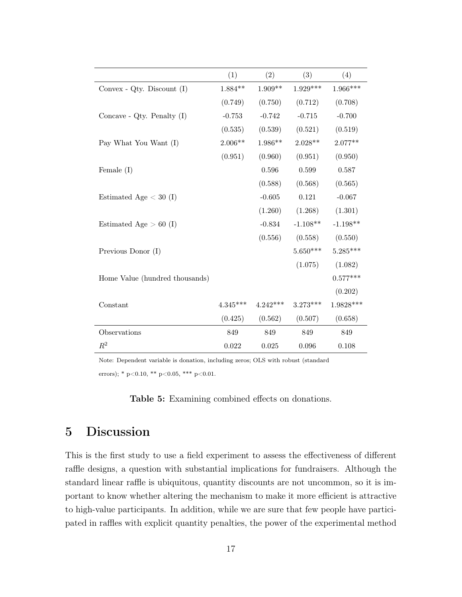|                                | (1)        | (2)        | (3)        | (4)         |
|--------------------------------|------------|------------|------------|-------------|
| Convex - Qty. Discount $(I)$   | $1.884**$  | $1.909**$  | $1.929***$ | $1.966***$  |
|                                | (0.749)    | (0.750)    | (0.712)    | (0.708)     |
| Concave - Qty. Penalty $(I)$   | $-0.753$   | $-0.742$   | $-0.715$   | $-0.700$    |
|                                | (0.535)    | (0.539)    | (0.521)    | (0.519)     |
| Pay What You Want (I)          | $2.006**$  | $1.986**$  | $2.028**$  | $2.077**$   |
|                                | (0.951)    | (0.960)    | (0.951)    | (0.950)     |
| Female $(I)$                   |            | 0.596      | 0.599      | 0.587       |
|                                |            | (0.588)    | (0.568)    | (0.565)     |
| Estimated Age $<$ 30 (I)       |            | $-0.605$   | 0.121      | $-0.067$    |
|                                |            | (1.260)    | (1.268)    | (1.301)     |
| Estimated Age $>$ 60 (I)       |            | $-0.834$   | $-1.108**$ | $-1.198**$  |
|                                |            | (0.556)    | (0.558)    | (0.550)     |
| Previous Donor (I)             |            |            | $5.650***$ | $5.285***$  |
|                                |            |            | (1.075)    | (1.082)     |
| Home Value (hundred thousands) |            |            |            | $0.577***$  |
|                                |            |            |            | (0.202)     |
| Constant                       | $4.345***$ | $4.242***$ | $3.273***$ | $1.9828***$ |
|                                | (0.425)    | (0.562)    | (0.507)    | (0.658)     |
| Observations                   | 849        | 849        | 849        | 849         |
| $R^2$                          | 0.022      | 0.025      | 0.096      | 0.108       |

Note: Dependent variable is donation, including zeros; OLS with robust (standard errors); \* p<0.10, \*\* p<0.05, \*\*\* p<0.01.

Table 5: Examining combined effects on donations.

# 5 Discussion

This is the first study to use a field experiment to assess the effectiveness of different raffle designs, a question with substantial implications for fundraisers. Although the standard linear raffle is ubiquitous, quantity discounts are not uncommon, so it is important to know whether altering the mechanism to make it more efficient is attractive to high-value participants. In addition, while we are sure that few people have participated in raffles with explicit quantity penalties, the power of the experimental method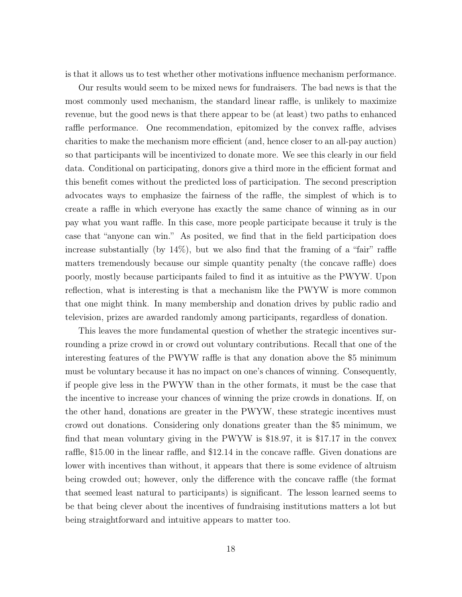is that it allows us to test whether other motivations influence mechanism performance.

Our results would seem to be mixed news for fundraisers. The bad news is that the most commonly used mechanism, the standard linear raffle, is unlikely to maximize revenue, but the good news is that there appear to be (at least) two paths to enhanced raffle performance. One recommendation, epitomized by the convex raffle, advises charities to make the mechanism more efficient (and, hence closer to an all-pay auction) so that participants will be incentivized to donate more. We see this clearly in our field data. Conditional on participating, donors give a third more in the efficient format and this benefit comes without the predicted loss of participation. The second prescription advocates ways to emphasize the fairness of the raffle, the simplest of which is to create a raffle in which everyone has exactly the same chance of winning as in our pay what you want raffle. In this case, more people participate because it truly is the case that "anyone can win." As posited, we find that in the field participation does increase substantially (by  $14\%)$ , but we also find that the framing of a "fair" raffle matters tremendously because our simple quantity penalty (the concave raffle) does poorly, mostly because participants failed to find it as intuitive as the PWYW. Upon reflection, what is interesting is that a mechanism like the PWYW is more common that one might think. In many membership and donation drives by public radio and television, prizes are awarded randomly among participants, regardless of donation.

This leaves the more fundamental question of whether the strategic incentives surrounding a prize crowd in or crowd out voluntary contributions. Recall that one of the interesting features of the PWYW raffle is that any donation above the \$5 minimum must be voluntary because it has no impact on one's chances of winning. Consequently, if people give less in the PWYW than in the other formats, it must be the case that the incentive to increase your chances of winning the prize crowds in donations. If, on the other hand, donations are greater in the PWYW, these strategic incentives must crowd out donations. Considering only donations greater than the \$5 minimum, we find that mean voluntary giving in the PWYW is \$18.97, it is \$17.17 in the convex raffle, \$15.00 in the linear raffle, and \$12.14 in the concave raffle. Given donations are lower with incentives than without, it appears that there is some evidence of altruism being crowded out; however, only the difference with the concave raffle (the format that seemed least natural to participants) is significant. The lesson learned seems to be that being clever about the incentives of fundraising institutions matters a lot but being straightforward and intuitive appears to matter too.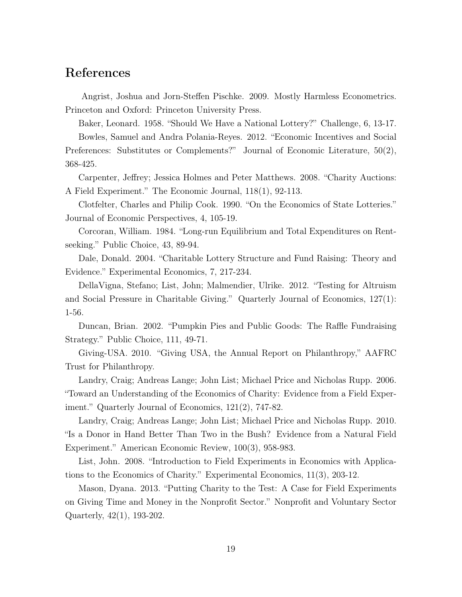## References

Angrist, Joshua and Jorn-Steffen Pischke. 2009. Mostly Harmless Econometrics. Princeton and Oxford: Princeton University Press.

Baker, Leonard. 1958. "Should We Have a National Lottery?" Challenge, 6, 13-17. Bowles, Samuel and Andra Polania-Reyes. 2012. "Economic Incentives and Social Preferences: Substitutes or Complements?" Journal of Economic Literature,  $50(2)$ , 368-425.

Carpenter, Jeffrey; Jessica Holmes and Peter Matthews. 2008. "Charity Auctions: A Field Experiment." The Economic Journal, 118(1), 92-113.

Clotfelter, Charles and Philip Cook. 1990. "On the Economics of State Lotteries." Journal of Economic Perspectives, 4, 105-19.

Corcoran, William. 1984. "Long-run Equilibrium and Total Expenditures on Rentseeking." Public Choice, 43, 89-94.

Dale, Donald. 2004. "Charitable Lottery Structure and Fund Raising: Theory and Evidence." Experimental Economics, 7, 217-234.

DellaVigna, Stefano; List, John; Malmendier, Ulrike. 2012. "Testing for Altruism and Social Pressure in Charitable Giving." Quarterly Journal of Economics, 127(1): 1-56.

Duncan, Brian. 2002. "Pumpkin Pies and Public Goods: The Raffle Fundraising Strategy." Public Choice, 111, 49-71.

Giving-USA. 2010. "Giving USA, the Annual Report on Philanthropy," AAFRC Trust for Philanthropy.

Landry, Craig; Andreas Lange; John List; Michael Price and Nicholas Rupp. 2006. "Toward an Understanding of the Economics of Charity: Evidence from a Field Experiment." Quarterly Journal of Economics, 121(2), 747-82.

Landry, Craig; Andreas Lange; John List; Michael Price and Nicholas Rupp. 2010. "Is a Donor in Hand Better Than Two in the Bush? Evidence from a Natural Field Experiment." American Economic Review, 100(3), 958-983.

List, John. 2008. "Introduction to Field Experiments in Economics with Applications to the Economics of Charity." Experimental Economics, 11(3), 203-12.

Mason, Dyana. 2013. "Putting Charity to the Test: A Case for Field Experiments on Giving Time and Money in the Nonprofit Sector." Nonprofit and Voluntary Sector Quarterly, 42(1), 193-202.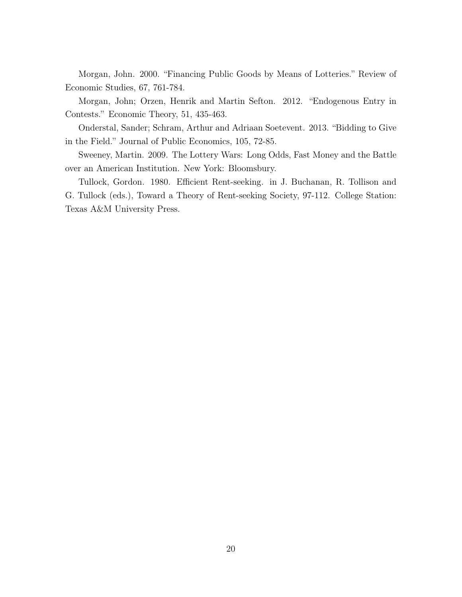Morgan, John. 2000. "Financing Public Goods by Means of Lotteries." Review of Economic Studies, 67, 761-784.

Morgan, John; Orzen, Henrik and Martin Sefton. 2012. "Endogenous Entry in Contests." Economic Theory, 51, 435-463.

Onderstal, Sander; Schram, Arthur and Adriaan Soetevent. 2013. "Bidding to Give in the Field." Journal of Public Economics, 105, 72-85.

Sweeney, Martin. 2009. The Lottery Wars: Long Odds, Fast Money and the Battle over an American Institution. New York: Bloomsbury.

Tullock, Gordon. 1980. Efficient Rent-seeking. in J. Buchanan, R. Tollison and G. Tullock (eds.), Toward a Theory of Rent-seeking Society, 97-112. College Station: Texas A&M University Press.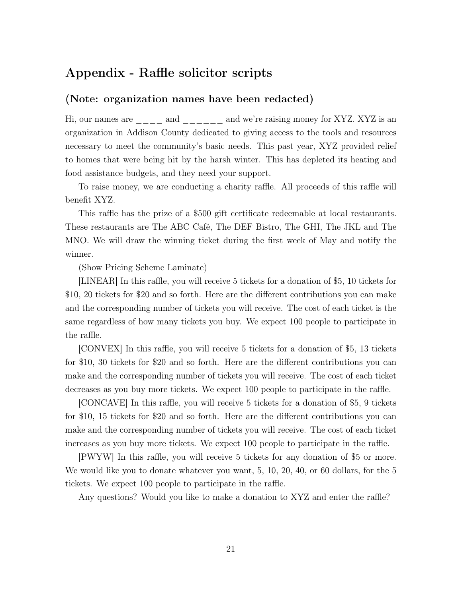# Appendix - Raffle solicitor scripts

### (Note: organization names have been redacted)

Hi, our names are  $\frac{1}{1-\frac{1}{1-\frac{1}{1-\frac{1}{1-\frac{1}{1-\frac{1}{1-\frac{1}{1-\frac{1}{1-\frac{1}{1-\frac{1}{1-\frac{1}{1-\frac{1}{1-\frac{1}{1-\frac{1}{1-\frac{1}{1-\frac{1}{1-\frac{1}{1-\frac{1}{1-\frac{1}{1-\frac{1}{1-\frac{1}{1-\frac{1}{1-\frac{1}{1-\frac{1}{1-\frac{1}{1-\frac{1}{1-\frac{1}{1-\frac{1}{1-\frac{1}{1-\frac{1}{1-\frac{1}{1-\frac{1}{1-\frac{1}{1-\frac{1$ organization in Addison County dedicated to giving access to the tools and resources necessary to meet the community's basic needs. This past year, XYZ provided relief to homes that were being hit by the harsh winter. This has depleted its heating and food assistance budgets, and they need your support.

To raise money, we are conducting a charity raffle. All proceeds of this raffle will benefit XYZ.

This raffle has the prize of a \$500 gift certificate redeemable at local restaurants. These restaurants are The ABC Café, The DEF Bistro, The GHI, The JKL and The MNO. We will draw the winning ticket during the first week of May and notify the winner.

(Show Pricing Scheme Laminate)

[LINEAR] In this raffle, you will receive 5 tickets for a donation of \$5, 10 tickets for \$10, 20 tickets for \$20 and so forth. Here are the different contributions you can make and the corresponding number of tickets you will receive. The cost of each ticket is the same regardless of how many tickets you buy. We expect 100 people to participate in the raffle.

[CONVEX] In this raffle, you will receive 5 tickets for a donation of \$5, 13 tickets for \$10, 30 tickets for \$20 and so forth. Here are the different contributions you can make and the corresponding number of tickets you will receive. The cost of each ticket decreases as you buy more tickets. We expect 100 people to participate in the raffle.

[CONCAVE] In this raffle, you will receive 5 tickets for a donation of \$5, 9 tickets for \$10, 15 tickets for \$20 and so forth. Here are the different contributions you can make and the corresponding number of tickets you will receive. The cost of each ticket increases as you buy more tickets. We expect 100 people to participate in the raffle.

[PWYW] In this raffle, you will receive 5 tickets for any donation of \$5 or more. We would like you to donate whatever you want, 5, 10, 20, 40, or 60 dollars, for the 5 tickets. We expect 100 people to participate in the raffle.

Any questions? Would you like to make a donation to XYZ and enter the raffle?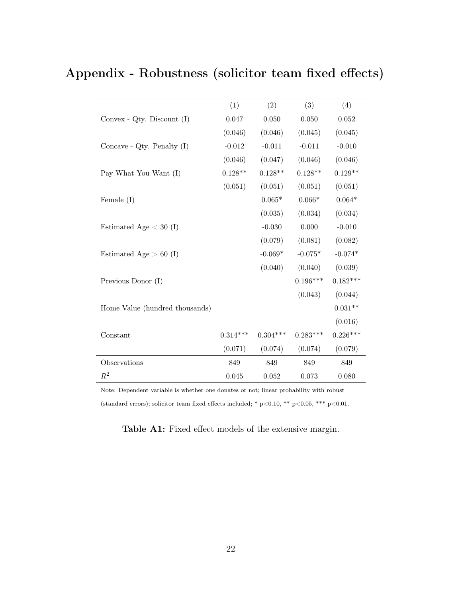| (1)        | (2)        | (3)        | (4)        |
|------------|------------|------------|------------|
| 0.047      | 0.050      | 0.050      | 0.052      |
| (0.046)    | (0.046)    | (0.045)    | (0.045)    |
| $-0.012$   | $-0.011$   | $-0.011$   | $-0.010$   |
| (0.046)    | (0.047)    | (0.046)    | (0.046)    |
| $0.128**$  | $0.128**$  | $0.128**$  | $0.129**$  |
| (0.051)    | (0.051)    | (0.051)    | (0.051)    |
|            | $0.065*$   | $0.066*$   | $0.064*$   |
|            | (0.035)    | (0.034)    | (0.034)    |
|            | $-0.030$   | 0.000      | $-0.010$   |
|            | (0.079)    | (0.081)    | (0.082)    |
|            | $-0.069*$  | $-0.075*$  | $-0.074*$  |
|            | (0.040)    | (0.040)    | (0.039)    |
|            |            | $0.196***$ | $0.182***$ |
|            |            | (0.043)    | (0.044)    |
|            |            |            | $0.031**$  |
|            |            |            | (0.016)    |
| $0.314***$ | $0.304***$ | $0.283***$ | $0.226***$ |
| (0.071)    | (0.074)    | (0.074)    | (0.079)    |
| 849        | 849        | 849        | 849        |
| 0.045      | 0.052      | 0.073      | 0.080      |
|            |            |            |            |

# Appendix - Robustness (solicitor team fixed effects)

Note: Dependent variable is whether one donates or not; linear probability with robust

(standard errors); solicitor team fixed effects included; \* p<0.10, \*\* p<0.05, \*\*\* p<0.01.

Table A1: Fixed effect models of the extensive margin.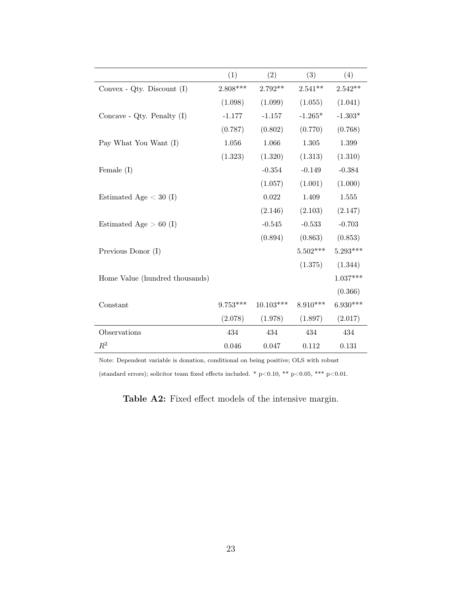|                                | (1)        | (2)         | (3)        | (4)        |
|--------------------------------|------------|-------------|------------|------------|
| Convex - Qty. Discount $(I)$   | $2.808***$ | $2.792**$   | $2.541**$  | $2.542**$  |
|                                | (1.098)    | (1.099)     | (1.055)    | (1.041)    |
| Concave - Qty. Penalty $(I)$   | $-1.177$   | $-1.157$    | $-1.265*$  | $-1.303*$  |
|                                | (0.787)    | (0.802)     | (0.770)    | (0.768)    |
| Pay What You Want (I)          | 1.056      | 1.066       | 1.305      | 1.399      |
|                                | (1.323)    | (1.320)     | (1.313)    | (1.310)    |
| Female $(I)$                   |            | $-0.354$    | $-0.149$   | $-0.384$   |
|                                |            | (1.057)     | (1.001)    | (1.000)    |
| Estimated Age $<$ 30 (I)       |            | 0.022       | 1.409      | 1.555      |
|                                |            | (2.146)     | (2.103)    | (2.147)    |
| Estimated Age $> 60$ (I)       |            | $-0.545$    | $-0.533$   | $-0.703$   |
|                                |            | (0.894)     | (0.863)    | (0.853)    |
| Previous Donor (I)             |            |             | $5.502***$ | $5.293***$ |
|                                |            |             | (1.375)    | (1.344)    |
| Home Value (hundred thousands) |            |             |            | $1.037***$ |
|                                |            |             |            | (0.366)    |
| Constant                       | $9.753***$ | $10.103***$ | $8.910***$ | $6.930***$ |
|                                | (2.078)    | (1.978)     | (1.897)    | (2.017)    |
| <b>Observations</b>            | 434        | 434         | 434        | 434        |
| $R^2$                          | 0.046      | 0.047       | 0.112      | 0.131      |

Note: Dependent variable is donation, conditional on being positive; OLS with robust

(standard errors); solicitor team fixed effects included. \* p<0.10, \*\* p<0.05, \*\*\* p<0.01.

Table A2: Fixed effect models of the intensive margin.